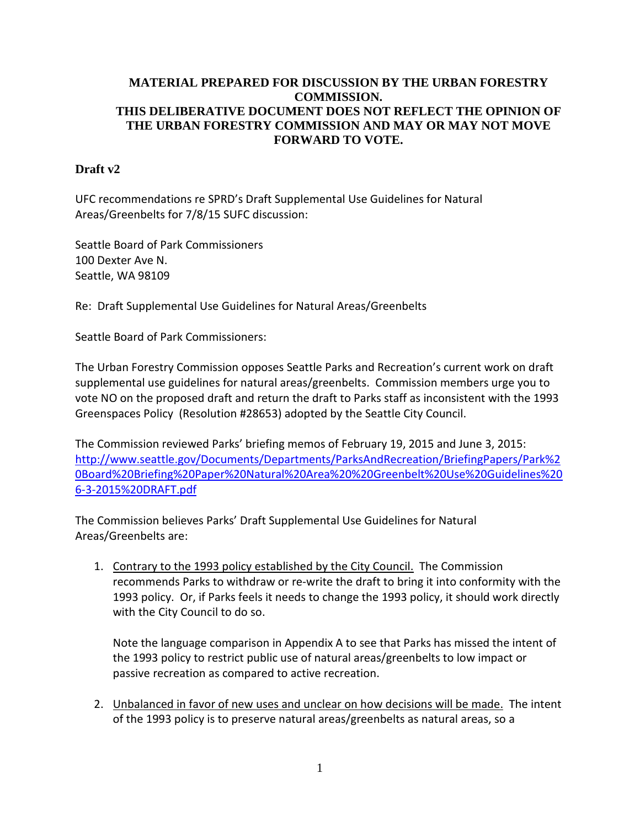### **MATERIAL PREPARED FOR DISCUSSION BY THE URBAN FORESTRY COMMISSION. THIS DELIBERATIVE DOCUMENT DOES NOT REFLECT THE OPINION OF THE URBAN FORESTRY COMMISSION AND MAY OR MAY NOT MOVE FORWARD TO VOTE.**

### **Draft v2**

UFC recommendations re SPRD's Draft Supplemental Use Guidelines for Natural Areas/Greenbelts for 7/8/15 SUFC discussion:

Seattle Board of Park Commissioners 100 Dexter Ave N. Seattle, WA 98109

Re: Draft Supplemental Use Guidelines for Natural Areas/Greenbelts

Seattle Board of Park Commissioners:

The Urban Forestry Commission opposes Seattle Parks and Recreation's current work on draft supplemental use guidelines for natural areas/greenbelts. Commission members urge you to vote NO on the proposed draft and return the draft to Parks staff as inconsistent with the 1993 Greenspaces Policy (Resolution #28653) adopted by the Seattle City Council.

The Commission reviewed Parks' briefing memos of February 19, 2015 and June 3, 2015: [http://www.seattle.gov/Documents/Departments/ParksAndRecreation/BriefingPapers/Park%2](http://www.seattle.gov/Documents/Departments/ParksAndRecreation/BriefingPapers/Park%20Board%20Briefing%20Paper%20Natural%20Area%20%20Greenbelt%20Use%20Guidelines%206-3-2015%20DRAFT.pdf) [0Board%20Briefing%20Paper%20Natural%20Area%20%20Greenbelt%20Use%20Guidelines%20](http://www.seattle.gov/Documents/Departments/ParksAndRecreation/BriefingPapers/Park%20Board%20Briefing%20Paper%20Natural%20Area%20%20Greenbelt%20Use%20Guidelines%206-3-2015%20DRAFT.pdf) [6-3-2015%20DRAFT.pdf](http://www.seattle.gov/Documents/Departments/ParksAndRecreation/BriefingPapers/Park%20Board%20Briefing%20Paper%20Natural%20Area%20%20Greenbelt%20Use%20Guidelines%206-3-2015%20DRAFT.pdf)

The Commission believes Parks' Draft Supplemental Use Guidelines for Natural Areas/Greenbelts are:

1. Contrary to the 1993 policy established by the City Council. The Commission recommends Parks to withdraw or re-write the draft to bring it into conformity with the 1993 policy. Or, if Parks feels it needs to change the 1993 policy, it should work directly with the City Council to do so.

Note the language comparison in Appendix A to see that Parks has missed the intent of the 1993 policy to restrict public use of natural areas/greenbelts to low impact or passive recreation as compared to active recreation.

2. Unbalanced in favor of new uses and unclear on how decisions will be made. The intent of the 1993 policy is to preserve natural areas/greenbelts as natural areas, so a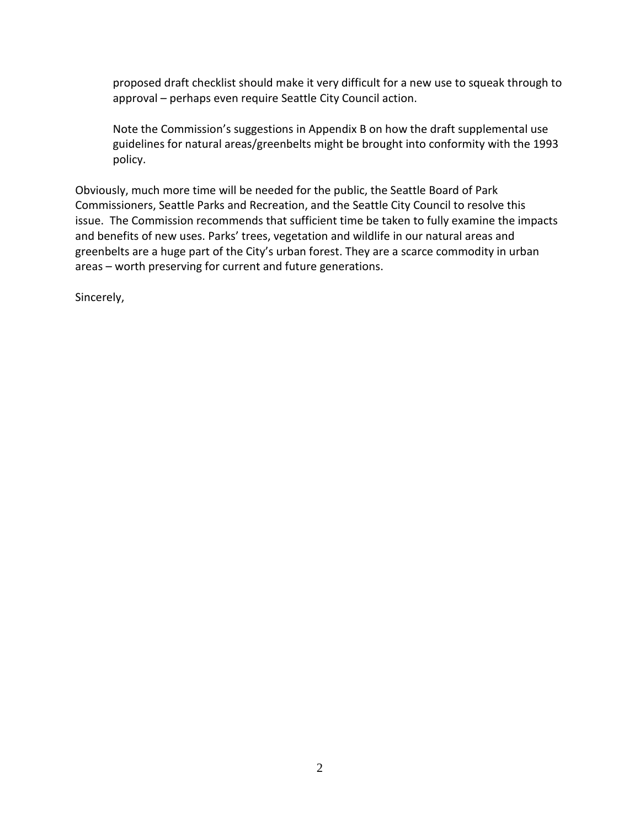proposed draft checklist should make it very difficult for a new use to squeak through to approval – perhaps even require Seattle City Council action.

Note the Commission's suggestions in Appendix B on how the draft supplemental use guidelines for natural areas/greenbelts might be brought into conformity with the 1993 policy.

Obviously, much more time will be needed for the public, the Seattle Board of Park Commissioners, Seattle Parks and Recreation, and the Seattle City Council to resolve this issue. The Commission recommends that sufficient time be taken to fully examine the impacts and benefits of new uses. Parks' trees, vegetation and wildlife in our natural areas and greenbelts are a huge part of the City's urban forest. They are a scarce commodity in urban areas – worth preserving for current and future generations.

Sincerely,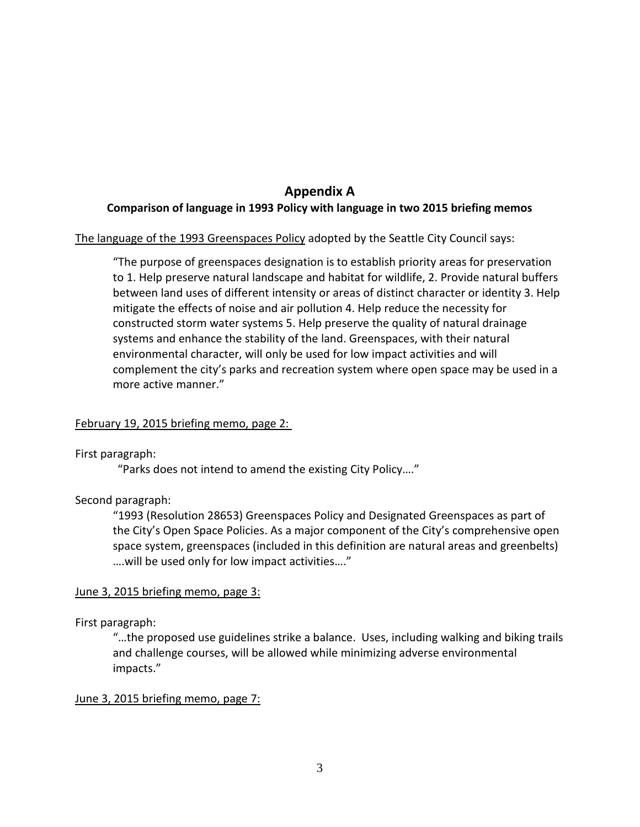## **Appendix A Comparison of language in 1993 Policy with language in two 2015 briefing memos**

The language of the 1993 Greenspaces Policy adopted by the Seattle City Council says:

"The purpose of greenspaces designation is to establish priority areas for preservation to 1. Help preserve natural landscape and habitat for wildlife, 2. Provide natural buffers between land uses of different intensity or areas of distinct character or identity 3. Help mitigate the effects of noise and air pollution 4. Help reduce the necessity for constructed storm water systems 5. Help preserve the quality of natural drainage systems and enhance the stability of the land. Greenspaces, with their natural environmental character, will only be used for low impact activities and will complement the city's parks and recreation system where open space may be used in a more active manner."

#### February 19, 2015 briefing memo, page 2:

First paragraph:

"Parks does not intend to amend the existing City Policy…."

#### Second paragraph:

"1993 (Resolution 28653) Greenspaces Policy and Designated Greenspaces as part of the City's Open Space Policies. As a major component of the City's comprehensive open space system, greenspaces (included in this definition are natural areas and greenbelts) ….will be used only for low impact activities…."

#### June 3, 2015 briefing memo, page 3:

First paragraph:

"…the proposed use guidelines strike a balance. Uses, including walking and biking trails and challenge courses, will be allowed while minimizing adverse environmental impacts."

June 3, 2015 briefing memo, page 7: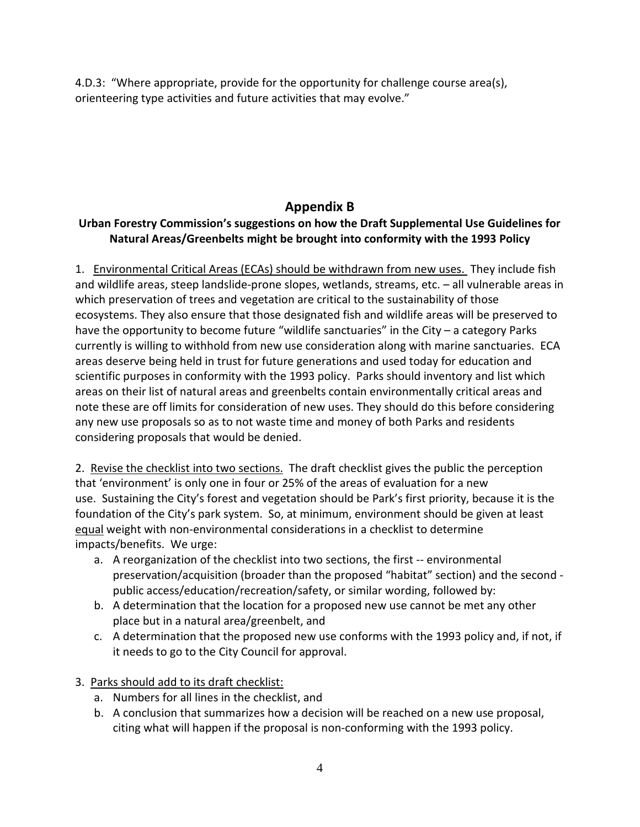4.D.3: "Where appropriate, provide for the opportunity for challenge course area(s), orienteering type activities and future activities that may evolve."

# **Appendix B**

## **Urban Forestry Commission's suggestions on how the Draft Supplemental Use Guidelines for Natural Areas/Greenbelts might be brought into conformity with the 1993 Policy**

1. Environmental Critical Areas (ECAs) should be withdrawn from new uses. They include fish and wildlife areas, steep landslide-prone slopes, wetlands, streams, etc. – all vulnerable areas in which preservation of trees and vegetation are critical to the sustainability of those ecosystems. They also ensure that those designated fish and wildlife areas will be preserved to have the opportunity to become future "wildlife sanctuaries" in the City – a category Parks currently is willing to withhold from new use consideration along with marine sanctuaries. ECA areas deserve being held in trust for future generations and used today for education and scientific purposes in conformity with the 1993 policy. Parks should inventory and list which areas on their list of natural areas and greenbelts contain environmentally critical areas and note these are off limits for consideration of new uses. They should do this before considering any new use proposals so as to not waste time and money of both Parks and residents considering proposals that would be denied.

2. Revise the checklist into two sections. The draft checklist gives the public the perception that 'environment' is only one in four or 25% of the areas of evaluation for a new use. Sustaining the City's forest and vegetation should be Park's first priority, because it is the foundation of the City's park system. So, at minimum, environment should be given at least equal weight with non-environmental considerations in a checklist to determine impacts/benefits. We urge:

- a. A reorganization of the checklist into two sections, the first -- environmental preservation/acquisition (broader than the proposed "habitat" section) and the second public access/education/recreation/safety, or similar wording, followed by:
- b. A determination that the location for a proposed new use cannot be met any other place but in a natural area/greenbelt, and
- c. A determination that the proposed new use conforms with the 1993 policy and, if not, if it needs to go to the City Council for approval.
- 3. Parks should add to its draft checklist:
	- a. Numbers for all lines in the checklist, and
	- b. A conclusion that summarizes how a decision will be reached on a new use proposal, citing what will happen if the proposal is non-conforming with the 1993 policy.